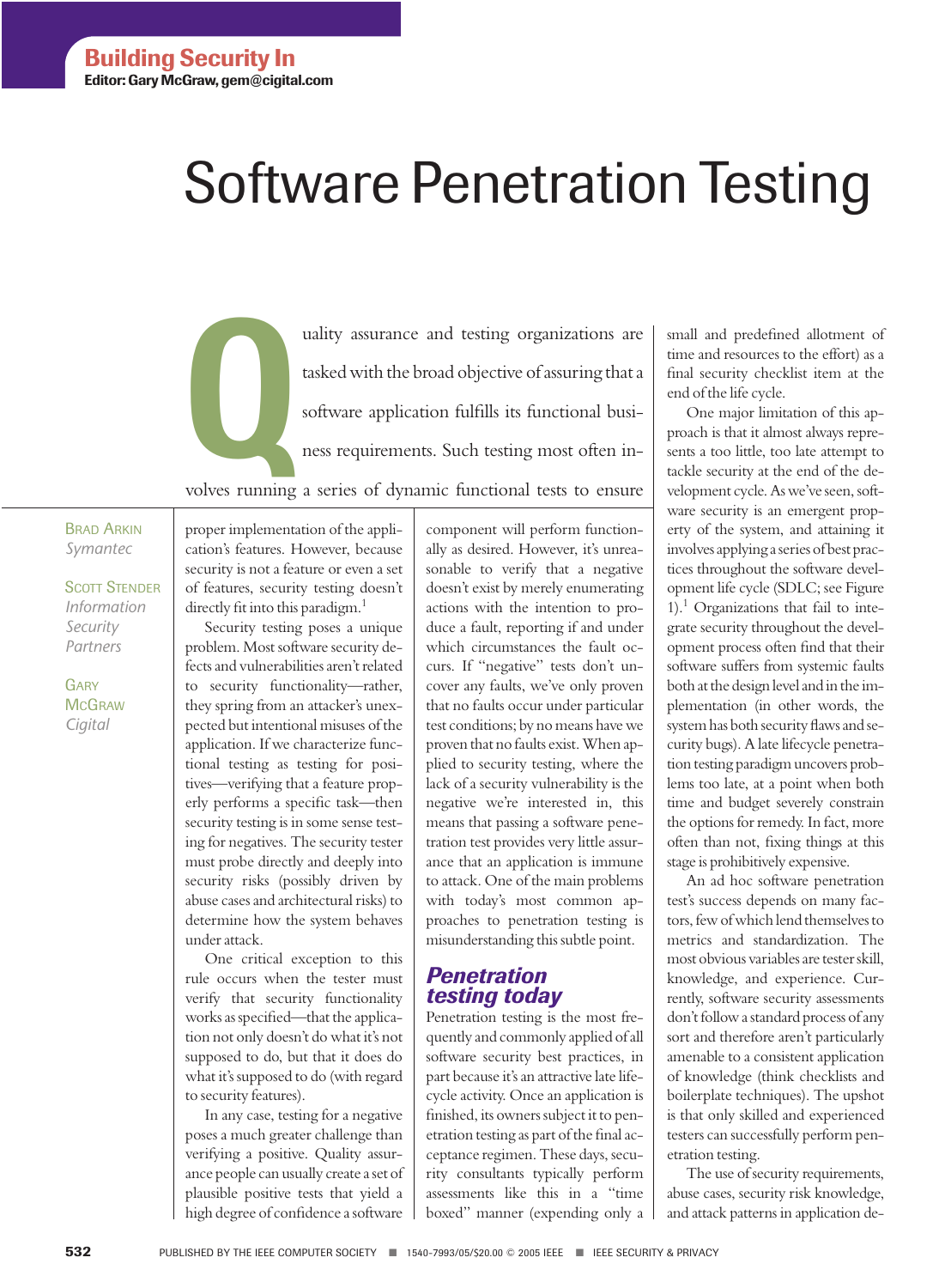# Software Penetration Testing

Expediant testing organizations are tasked with the broad objective of assuring that a software application fulfills its functional business requirements. Such testing most often intasked with the broad objective of assuring that a software application fulfills its functional business requirements. Such testing most often involves running a series of dynamic functional tests to ensure

BRAD ARKIN *Symantec*

**SCOTT STENDER** *Information Security Partners*

**GARY McGRAW** *Cigital*

proper implementation of the application's features. However, because security is not a feature or even a set of features, security testing doesn't directly fit into this paradigm.<sup>1</sup>

Security testing poses a unique problem. Most software security defects and vulnerabilities aren't related to security functionality—rather, they spring from an attacker's unexpected but intentional misuses of the application. If we characterize functional testing as testing for positives—verifying that a feature properly performs a specific task—then security testing is in some sense testing for negatives. The security tester must probe directly and deeply into security risks (possibly driven by abuse cases and architectural risks) to determine how the system behaves under attack.

One critical exception to this rule occurs when the tester must verify that security functionality works as specified—that the application not only doesn't do what it's not supposed to do, but that it does do what it's supposed to do (with regard to security features).

In any case, testing for a negative poses a much greater challenge than verifying a positive. Quality assurance people can usually create a set of plausible positive tests that yield a high degree of confidence a software component will perform functionally as desired. However, it's unreasonable to verify that a negative doesn't exist by merely enumerating actions with the intention to produce a fault, reporting if and under which circumstances the fault occurs. If "negative" tests don't uncover any faults, we've only proven that no faults occur under particular test conditions; by no means have we proven that no faults exist. When applied to security testing, where the lack of a security vulnerability is the negative we're interested in, this means that passing a software penetration test provides very little assurance that an application is immune to attack. One of the main problems with today's most common approaches to penetration testing is misunderstanding this subtle point.

### *Penetration testing today*

Penetration testing is the most frequently and commonly applied of all software security best practices, in part because it's an attractive late lifecycle activity. Once an application is finished, its owners subject it to penetration testing as part of the final acceptance regimen. These days, security consultants typically perform assessments like this in a "time boxed" manner (expending only a

small and predefined allotment of time and resources to the effort) as a final security checklist item at the end of the life cycle.

One major limitation of this approach is that it almost always represents a too little, too late attempt to tackle security at the end of the development cycle. As we've seen, software security is an emergent property of the system, and attaining it involves applying a series of best practices throughout the software development life cycle (SDLC; see Figure  $1$ ).<sup>1</sup> Organizations that fail to integrate security throughout the development process often find that their software suffers from systemic faults both at the design level and in the implementation (in other words, the system has both security flaws and security bugs). A late lifecycle penetration testing paradigm uncovers problems too late, at a point when both time and budget severely constrain the options for remedy. In fact, more often than not, fixing things at this stage is prohibitively expensive.

An ad hoc software penetration test's success depends on many factors, few of which lend themselves to metrics and standardization. The most obvious variables are tester skill, knowledge, and experience. Currently, software security assessments don't follow a standard process of any sort and therefore aren't particularly amenable to a consistent application of knowledge (think checklists and boilerplate techniques). The upshot is that only skilled and experienced testers can successfully perform penetration testing.

The use of security requirements, abuse cases, security risk knowledge, and attack patterns in application de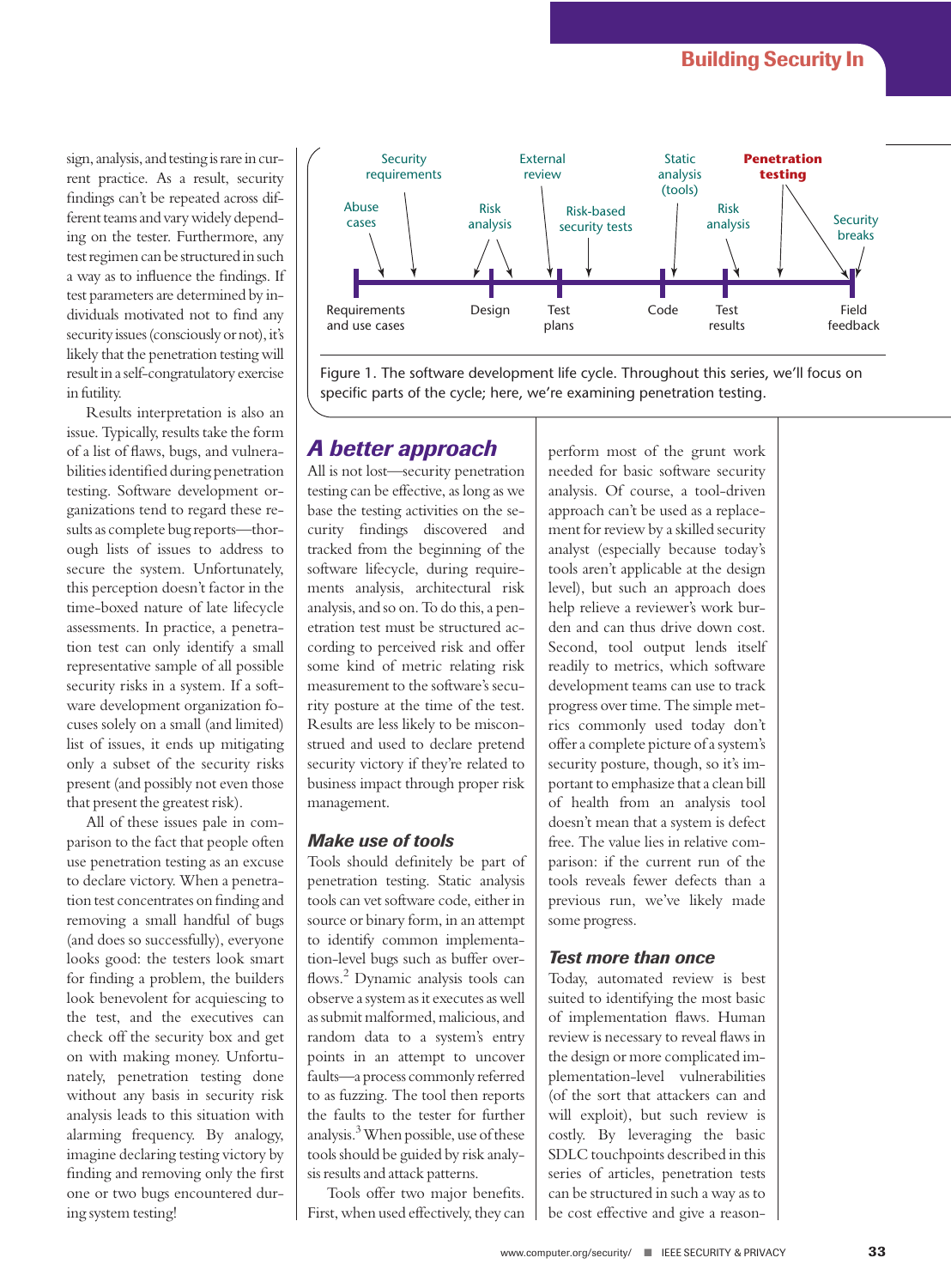sign, analysis, and testing is rare in current practice. As a result, security findings can't be repeated across different teams and vary widely depending on the tester. Furthermore, any test regimen can be structured in such a way as to influence the findings. If test parameters are determined by individuals motivated not to find any security issues (consciously or not), it's likely that the penetration testing will result in a self-congratulatory exercise in futility.

Results interpretation is also an issue. Typically, results take the form of a list of flaws, bugs, and vulnerabilities identified during penetration testing. Software development organizations tend to regard these results as complete bug reports—thorough lists of issues to address to secure the system. Unfortunately, this perception doesn't factor in the time-boxed nature of late lifecycle assessments. In practice, a penetration test can only identify a small representative sample of all possible security risks in a system. If a software development organization focuses solely on a small (and limited) list of issues, it ends up mitigating only a subset of the security risks present (and possibly not even those that present the greatest risk).

All of these issues pale in comparison to the fact that people often use penetration testing as an excuse to declare victory. When a penetration test concentrates on finding and removing a small handful of bugs (and does so successfully), everyone looks good: the testers look smart for finding a problem, the builders look benevolent for acquiescing to the test, and the executives can check off the security box and get on with making money. Unfortunately, penetration testing done without any basis in security risk analysis leads to this situation with alarming frequency. By analogy, imagine declaring testing victory by finding and removing only the first one or two bugs encountered during system testing!



Figure 1. The software development life cycle. Throughout this series, we'll focus on specific parts of the cycle; here, we're examining penetration testing.

## *A better approach*

All is not lost—security penetration testing can be effective, as long as we base the testing activities on the security findings discovered and tracked from the beginning of the software lifecycle, during requirements analysis, architectural risk analysis, and so on. To do this, a penetration test must be structured according to perceived risk and offer some kind of metric relating risk measurement to the software's security posture at the time of the test. Results are less likely to be misconstrued and used to declare pretend security victory if they're related to business impact through proper risk management.

#### *Make use of tools*

Tools should definitely be part of penetration testing. Static analysis tools can vet software code, either in source or binary form, in an attempt to identify common implementation-level bugs such as buffer overflows.2 Dynamic analysis tools can observe a system as it executes as well as submit malformed, malicious, and random data to a system's entry points in an attempt to uncover faults—a process commonly referred to as fuzzing. The tool then reports the faults to the tester for further analysis. $3$  When possible, use of these tools should be guided by risk analysis results and attack patterns.

Tools offer two major benefits. First, when used effectively, they can perform most of the grunt work needed for basic software security analysis. Of course, a tool-driven approach can't be used as a replacement for review by a skilled security analyst (especially because today's tools aren't applicable at the design level), but such an approach does help relieve a reviewer's work burden and can thus drive down cost. Second, tool output lends itself readily to metrics, which software development teams can use to track progress over time. The simple metrics commonly used today don't offer a complete picture of a system's security posture, though, so it's important to emphasize that a clean bill of health from an analysis tool doesn't mean that a system is defect free. The value lies in relative comparison: if the current run of the tools reveals fewer defects than a previous run, we've likely made some progress.

#### *Test more than once*

Today, automated review is best suited to identifying the most basic of implementation flaws. Human review is necessary to reveal flaws in the design or more complicated implementation-level vulnerabilities (of the sort that attackers can and will exploit), but such review is costly. By leveraging the basic SDLC touchpoints described in this series of articles, penetration tests can be structured in such a way as to be cost effective and give a reason-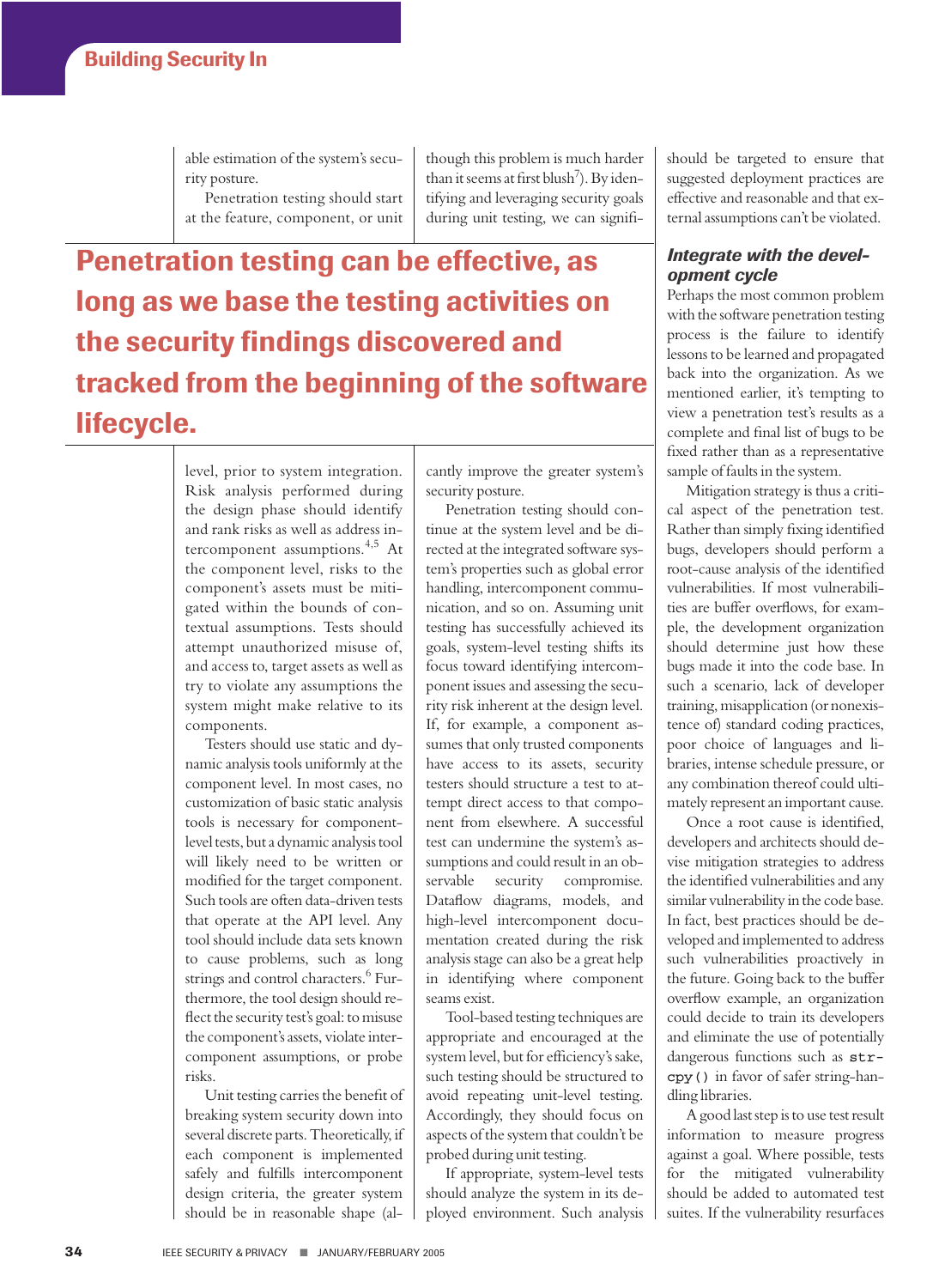able estimation of the system's security posture.

Penetration testing should start at the feature, component, or unit though this problem is much harder than it seems at first blush $^7$ ). By identifying and leveraging security goals during unit testing, we can signifi-

# **Penetration testing can be effective, as long as we base the testing activities on the security findings discovered and tracked from the beginning of the software lifecycle.**

level, prior to system integration. Risk analysis performed during the design phase should identify and rank risks as well as address intercomponent assumptions.4,5 At the component level, risks to the component's assets must be mitigated within the bounds of contextual assumptions. Tests should attempt unauthorized misuse of, and access to, target assets as well as try to violate any assumptions the system might make relative to its components.

Testers should use static and dynamic analysis tools uniformly at the component level. In most cases, no customization of basic static analysis tools is necessary for componentlevel tests, but a dynamic analysis tool will likely need to be written or modified for the target component. Such tools are often data-driven tests that operate at the API level. Any tool should include data sets known to cause problems, such as long strings and control characters.<sup>6</sup> Furthermore, the tool design should reflect the security test's goal: to misuse the component's assets, violate intercomponent assumptions, or probe risks.

Unit testing carries the benefit of breaking system security down into several discrete parts. Theoretically, if each component is implemented safely and fulfills intercomponent design criteria, the greater system should be in reasonable shape (alcantly improve the greater system's security posture.

Penetration testing should continue at the system level and be directed at the integrated software system's properties such as global error handling, intercomponent communication, and so on. Assuming unit testing has successfully achieved its goals, system-level testing shifts its focus toward identifying intercomponent issues and assessing the security risk inherent at the design level. If, for example, a component assumes that only trusted components have access to its assets, security testers should structure a test to attempt direct access to that component from elsewhere. A successful test can undermine the system's assumptions and could result in an observable security compromise. Dataflow diagrams, models, and high-level intercomponent documentation created during the risk analysis stage can also be a great help in identifying where component seams exist.

Tool-based testing techniques are appropriate and encouraged at the system level, but for efficiency's sake, such testing should be structured to avoid repeating unit-level testing. Accordingly, they should focus on aspects of the system that couldn't be probed during unit testing.

If appropriate, system-level tests should analyze the system in its deployed environment. Such analysis

should be targeted to ensure that suggested deployment practices are effective and reasonable and that external assumptions can't be violated.

#### *Integrate with the development cycle*

Perhaps the most common problem with the software penetration testing process is the failure to identify lessons to be learned and propagated back into the organization. As we mentioned earlier, it's tempting to view a penetration test's results as a complete and final list of bugs to be fixed rather than as a representative sample of faults in the system.

Mitigation strategy is thus a critical aspect of the penetration test. Rather than simply fixing identified bugs, developers should perform a root-cause analysis of the identified vulnerabilities. If most vulnerabilities are buffer overflows, for example, the development organization should determine just how these bugs made it into the code base. In such a scenario, lack of developer training, misapplication (or nonexistence of) standard coding practices, poor choice of languages and libraries, intense schedule pressure, or any combination thereof could ultimately represent an important cause.

Once a root cause is identified, developers and architects should devise mitigation strategies to address the identified vulnerabilities and any similar vulnerability in the code base. In fact, best practices should be developed and implemented to address such vulnerabilities proactively in the future. Going back to the buffer overflow example, an organization could decide to train its developers and eliminate the use of potentially dangerous functions such as strcpy() in favor of safer string-handling libraries.

A good last step is to use test result information to measure progress against a goal. Where possible, tests for the mitigated vulnerability should be added to automated test suites. If the vulnerability resurfaces